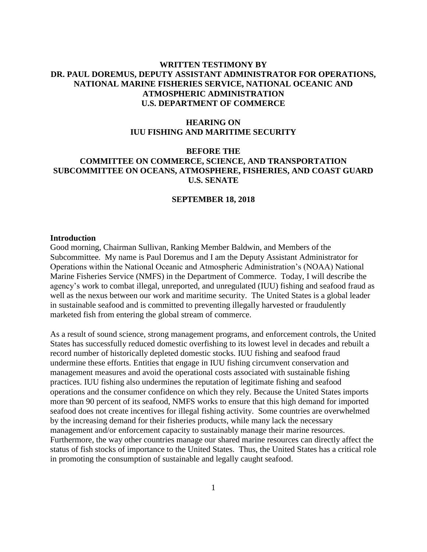# **WRITTEN TESTIMONY BY DR. PAUL DOREMUS, DEPUTY ASSISTANT ADMINISTRATOR FOR OPERATIONS, NATIONAL MARINE FISHERIES SERVICE, NATIONAL OCEANIC AND ATMOSPHERIC ADMINISTRATION U.S. DEPARTMENT OF COMMERCE**

# **HEARING ON IUU FISHING AND MARITIME SECURITY**

# **BEFORE THE COMMITTEE ON COMMERCE, SCIENCE, AND TRANSPORTATION SUBCOMMITTEE ON OCEANS, ATMOSPHERE, FISHERIES, AND COAST GUARD U.S. SENATE**

### **SEPTEMBER 18, 2018**

#### **Introduction**

Good morning, Chairman Sullivan, Ranking Member Baldwin, and Members of the Subcommittee. My name is Paul Doremus and I am the Deputy Assistant Administrator for Operations within the National Oceanic and Atmospheric Administration's (NOAA) National Marine Fisheries Service (NMFS) in the Department of Commerce. Today, I will describe the agency's work to combat illegal, unreported, and unregulated (IUU) fishing and seafood fraud as well as the nexus between our work and maritime security. The United States is a global leader in sustainable seafood and is committed to preventing illegally harvested or fraudulently marketed fish from entering the global stream of commerce.

As a result of sound science, strong management programs, and enforcement controls, the United States has successfully reduced domestic overfishing to its lowest level in decades and rebuilt a record number of historically depleted domestic stocks. IUU fishing and seafood fraud undermine these efforts. Entities that engage in IUU fishing circumvent conservation and management measures and avoid the operational costs associated with sustainable fishing practices. IUU fishing also undermines the reputation of legitimate fishing and seafood operations and the consumer confidence on which they rely. Because the United States imports more than 90 percent of its seafood, NMFS works to ensure that this high demand for imported seafood does not create incentives for illegal fishing activity. Some countries are overwhelmed by the increasing demand for their fisheries products, while many lack the necessary management and/or enforcement capacity to sustainably manage their marine resources. Furthermore, the way other countries manage our shared marine resources can directly affect the status of fish stocks of importance to the United States. Thus, the United States has a critical role in promoting the consumption of sustainable and legally caught seafood.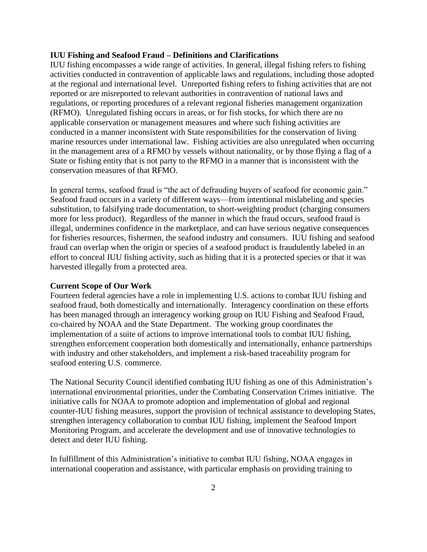### **IUU Fishing and Seafood Fraud – Definitions and Clarifications**

IUU fishing encompasses a wide range of activities. In general, illegal fishing refers to fishing activities conducted in contravention of applicable laws and regulations, including those adopted at the regional and international level. Unreported fishing refers to fishing activities that are not reported or are misreported to relevant authorities in contravention of national laws and regulations, or reporting procedures of a relevant regional fisheries management organization (RFMO). Unregulated fishing occurs in areas, or for fish stocks, for which there are no applicable conservation or management measures and where such fishing activities are conducted in a manner inconsistent with State responsibilities for the conservation of living marine resources under international law. Fishing activities are also unregulated when occurring in the management area of a RFMO by vessels without nationality, or by those flying a flag of a State or fishing entity that is not party to the RFMO in a manner that is inconsistent with the conservation measures of that RFMO.

In general terms, seafood fraud is "the act of defrauding buyers of seafood for economic gain." Seafood fraud occurs in a variety of different ways—from intentional mislabeling and species substitution, to falsifying trade documentation, to short-weighting product (charging consumers more for less product). Regardless of the manner in which the fraud occurs, seafood fraud is illegal, undermines confidence in the marketplace, and can have serious negative consequences for fisheries resources, fishermen, the seafood industry and consumers. IUU fishing and seafood fraud can overlap when the origin or species of a seafood product is fraudulently labeled in an effort to conceal IUU fishing activity, such as hiding that it is a protected species or that it was harvested illegally from a protected area.

### **Current Scope of Our Work**

Fourteen federal agencies have a role in implementing U.S. actions to combat IUU fishing and seafood fraud, both domestically and internationally. Interagency coordination on these efforts has been managed through an interagency working group on IUU Fishing and Seafood Fraud, co-chaired by NOAA and the State Department. The working group coordinates the implementation of a suite of actions to improve international tools to combat IUU fishing, strengthen enforcement cooperation both domestically and internationally, enhance partnerships with industry and other stakeholders, and implement a risk-based traceability program for seafood entering U.S. commerce.

The National Security Council identified combating IUU fishing as one of this Administration's international environmental priorities, under the Combating Conservation Crimes initiative. The initiative calls for NOAA to promote adoption and implementation of global and regional counter-IUU fishing measures, support the provision of technical assistance to developing States, strengthen interagency collaboration to combat IUU fishing, implement the Seafood Import Monitoring Program, and accelerate the development and use of innovative technologies to detect and deter IUU fishing.

In fulfillment of this Administration's initiative to combat IUU fishing, NOAA engages in international cooperation and assistance, with particular emphasis on providing training to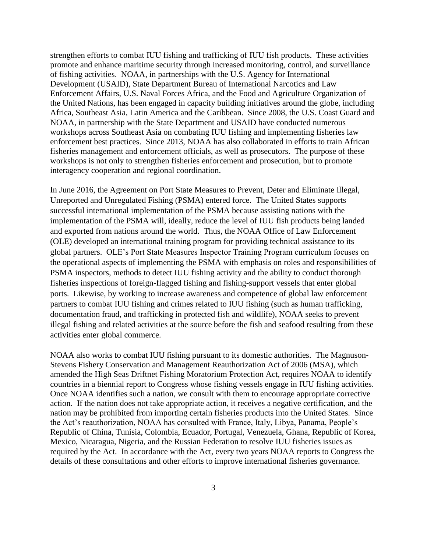strengthen efforts to combat IUU fishing and trafficking of IUU fish products. These activities promote and enhance maritime security through increased monitoring, control, and surveillance of fishing activities. NOAA, in partnerships with the U.S. Agency for International Development (USAID), State Department Bureau of International Narcotics and Law Enforcement Affairs, U.S. Naval Forces Africa, and the Food and Agriculture Organization of the United Nations, has been engaged in capacity building initiatives around the globe, including Africa, Southeast Asia, Latin America and the Caribbean. Since 2008, the U.S. Coast Guard and NOAA, in partnership with the State Department and USAID have conducted numerous workshops across Southeast Asia on combating IUU fishing and implementing fisheries law enforcement best practices. Since 2013, NOAA has also collaborated in efforts to train African fisheries management and enforcement officials, as well as prosecutors. The purpose of these workshops is not only to strengthen fisheries enforcement and prosecution, but to promote interagency cooperation and regional coordination.

In June 2016, the Agreement on Port State Measures to Prevent, Deter and Eliminate Illegal, Unreported and Unregulated Fishing (PSMA) entered force. The United States supports successful international implementation of the PSMA because assisting nations with the implementation of the PSMA will, ideally, reduce the level of IUU fish products being landed and exported from nations around the world. Thus, the NOAA Office of Law Enforcement (OLE) developed an international training program for providing technical assistance to its global partners. OLE's Port State Measures Inspector Training Program curriculum focuses on the operational aspects of implementing the PSMA with emphasis on roles and responsibilities of PSMA inspectors, methods to detect IUU fishing activity and the ability to conduct thorough fisheries inspections of foreign-flagged fishing and fishing-support vessels that enter global ports. Likewise, by working to increase awareness and competence of global law enforcement partners to combat IUU fishing and crimes related to IUU fishing (such as human trafficking, documentation fraud, and trafficking in protected fish and wildlife), NOAA seeks to prevent illegal fishing and related activities at the source before the fish and seafood resulting from these activities enter global commerce.

NOAA also works to combat IUU fishing pursuant to its domestic authorities. The Magnuson‐ Stevens Fishery Conservation and Management Reauthorization Act of 2006 (MSA), which amended the High Seas Driftnet Fishing Moratorium Protection Act, requires NOAA to identify countries in a biennial report to Congress whose fishing vessels engage in IUU fishing activities. Once NOAA identifies such a nation, we consult with them to encourage appropriate corrective action. If the nation does not take appropriate action, it receives a negative certification, and the nation may be prohibited from importing certain fisheries products into the United States. Since the Act's reauthorization, NOAA has consulted with France, Italy, Libya, Panama, People's Republic of China, Tunisia, Colombia, Ecuador, Portugal, Venezuela, Ghana, Republic of Korea, Mexico, Nicaragua, Nigeria, and the Russian Federation to resolve IUU fisheries issues as required by the Act. In accordance with the Act, every two years NOAA reports to Congress the details of these consultations and other efforts to improve international fisheries governance.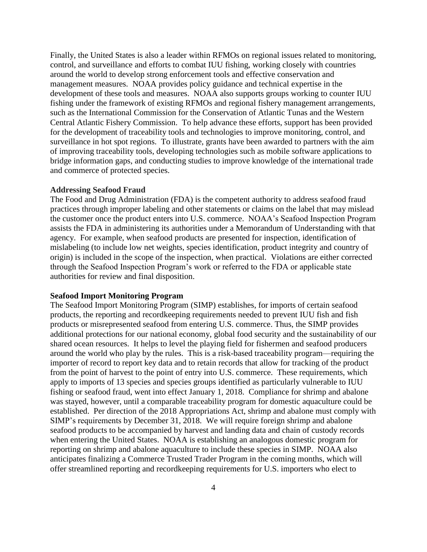Finally, the United States is also a leader within RFMOs on regional issues related to monitoring, control, and surveillance and efforts to combat IUU fishing, working closely with countries around the world to develop strong enforcement tools and effective conservation and management measures. NOAA provides policy guidance and technical expertise in the development of these tools and measures. NOAA also supports groups working to counter IUU fishing under the framework of existing RFMOs and regional fishery management arrangements, such as the International Commission for the Conservation of Atlantic Tunas and the Western Central Atlantic Fishery Commission. To help advance these efforts, support has been provided for the development of traceability tools and technologies to improve monitoring, control, and surveillance in hot spot regions. To illustrate, grants have been awarded to partners with the aim of improving traceability tools, developing technologies such as mobile software applications to bridge information gaps, and conducting studies to improve knowledge of the international trade and commerce of protected species.

#### **Addressing Seafood Fraud**

The Food and Drug Administration (FDA) is the competent authority to address seafood fraud practices through improper labeling and other statements or claims on the label that may mislead the customer once the product enters into U.S. commerce. NOAA's Seafood Inspection Program assists the FDA in administering its authorities under a Memorandum of Understanding with that agency. For example, when seafood products are presented for inspection, identification of mislabeling (to include low net weights, species identification, product integrity and country of origin) is included in the scope of the inspection, when practical. Violations are either corrected through the Seafood Inspection Program's work or referred to the FDA or applicable state authorities for review and final disposition.

#### **Seafood Import Monitoring Program**

The Seafood Import Monitoring Program (SIMP) establishes, for imports of certain seafood products, the reporting and recordkeeping requirements needed to prevent IUU fish and fish products or misrepresented seafood from entering U.S. commerce. Thus, the SIMP provides additional protections for our national economy, global food security and the sustainability of our shared ocean resources. It helps to level the playing field for fishermen and seafood producers around the world who play by the rules. This is a risk-based traceability program—requiring the importer of record to report key data and to retain records that allow for tracking of the product from the point of harvest to the point of entry into U.S. commerce. These requirements, which apply to imports of 13 species and species groups identified as particularly vulnerable to IUU fishing or seafood fraud, went into effect January 1, 2018. Compliance for shrimp and abalone was stayed, however, until a comparable traceability program for domestic aquaculture could be established. Per direction of the 2018 Appropriations Act, shrimp and abalone must comply with SIMP's requirements by December 31, 2018. We will require foreign shrimp and abalone seafood products to be accompanied by harvest and landing data and chain of custody records when entering the United States. NOAA is establishing an analogous domestic program for reporting on shrimp and abalone aquaculture to include these species in SIMP. NOAA also anticipates finalizing a Commerce Trusted Trader Program in the coming months, which will offer streamlined reporting and recordkeeping requirements for U.S. importers who elect to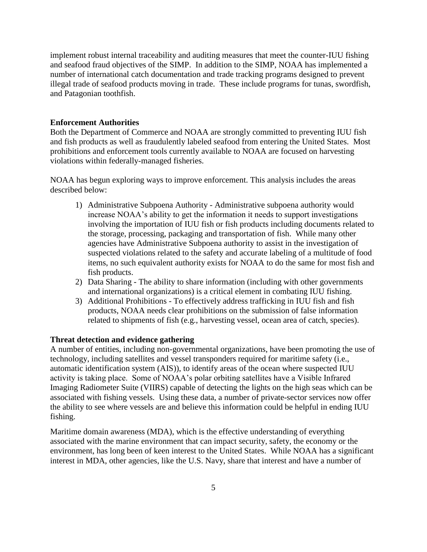implement robust internal traceability and auditing measures that meet the counter-IUU fishing and seafood fraud objectives of the SIMP. In addition to the SIMP, NOAA has implemented a number of international catch documentation and trade tracking programs designed to prevent illegal trade of seafood products moving in trade. These include programs for tunas, swordfish, and Patagonian toothfish.

## **Enforcement Authorities**

Both the Department of Commerce and NOAA are strongly committed to preventing IUU fish and fish products as well as fraudulently labeled seafood from entering the United States. Most prohibitions and enforcement tools currently available to NOAA are focused on harvesting violations within federally-managed fisheries.

NOAA has begun exploring ways to improve enforcement. This analysis includes the areas described below:

- 1) Administrative Subpoena Authority Administrative subpoena authority would increase NOAA's ability to get the information it needs to support investigations involving the importation of IUU fish or fish products including documents related to the storage, processing, packaging and transportation of fish. While many other agencies have Administrative Subpoena authority to assist in the investigation of suspected violations related to the safety and accurate labeling of a multitude of food items, no such equivalent authority exists for NOAA to do the same for most fish and fish products.
- 2) Data Sharing The ability to share information (including with other governments and international organizations) is a critical element in combating IUU fishing.
- 3) Additional Prohibitions To effectively address trafficking in IUU fish and fish products, NOAA needs clear prohibitions on the submission of false information related to shipments of fish (e.g., harvesting vessel, ocean area of catch, species).

### **Threat detection and evidence gathering**

A number of entities, including non-governmental organizations, have been promoting the use of technology, including satellites and vessel transponders required for maritime safety (i.e., automatic identification system (AIS)), to identify areas of the ocean where suspected IUU activity is taking place. Some of NOAA's polar orbiting satellites have a Visible Infrared Imaging Radiometer Suite (VIIRS) capable of detecting the lights on the high seas which can be associated with fishing vessels. Using these data, a number of private-sector services now offer the ability to see where vessels are and believe this information could be helpful in ending IUU fishing.

Maritime domain awareness (MDA), which is the effective understanding of everything associated with the marine environment that can impact security, safety, the economy or the environment, has long been of keen interest to the United States. While NOAA has a significant interest in MDA, other agencies, like the U.S. Navy, share that interest and have a number of